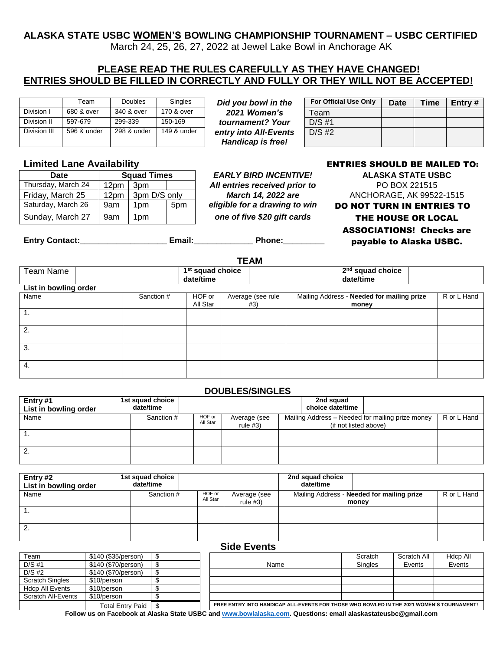## **ALASKA STATE USBC WOMEN'S BOWLING CHAMPIONSHIP TOURNAMENT – USBC CERTIFIED**

March 24, 25, 26, 27, 2022 at Jewel Lake Bowl in Anchorage AK

# **PLEASE READ THE RULES CAREFULLY AS THEY HAVE CHANGED! ENTRIES SHOULD BE FILLED IN CORRECTLY AND FULLY OR THEY WILL NOT BE ACCEPTED!**

|              | Team        | <b>Doubles</b> | <b>Singles</b> |
|--------------|-------------|----------------|----------------|
| Division I   | 680 & over  | 340 & over     | 170 & over     |
| Division II  | 597-679     | 299-339        | 150-169        |
| Division III | 596 & under | 298 & under    | 149 & under    |

**Did you bowl in the** 2021 Women's  $tournament?$  *Your* entry into All-Events *Handicap is free!*

| <b>For Official Use Only</b> | Date | Time | Entry $#$ |
|------------------------------|------|------|-----------|
| Team                         |      |      |           |
| $D/S$ #1                     |      |      |           |
| $D/S$ #2                     |      |      |           |
|                              |      |      |           |

| Date               | <b>Squad Times</b> |                 |     |  |
|--------------------|--------------------|-----------------|-----|--|
| Thursday, March 24 | 12pm               | 3pm             |     |  |
| Friday, March 25   | 12pm               | 3pm D/S only    |     |  |
| Saturday, March 26 | 9am                | 1 <sub>pm</sub> | 5pm |  |
| Sunday, March 27   | 9am                | 1pm             |     |  |

All entries received prior to **PO BOX 221515** 

## **Limited Lane Availability ENTRIES SHOULD BE MAILED TO:**

**DEARLY BIRD INCENTIVE! ALASKA STATE USBC March 14, 2022 are** ANCHORAGE, AK 99522-1515 eligible for a drawing to win **DO NOT TURN IN ENTRIES TO** one of five \$20 gift cards **THE HOUSE OR LOCAL** ASSOCIATIONS! Checks are payable to Alaska USBC.

**Entry Contact:\_\_\_\_\_\_\_\_\_\_\_\_\_\_\_\_\_\_\_ Email:\_\_\_\_\_\_\_\_\_\_\_\_\_ Phone:\_\_\_\_\_\_\_\_\_**

| <b>TEAM</b>           |  |            |                                           |  |                          |                                                     |  |             |  |  |
|-----------------------|--|------------|-------------------------------------------|--|--------------------------|-----------------------------------------------------|--|-------------|--|--|
| Team Name             |  |            | 1 <sup>st</sup> squad choice<br>date/time |  |                          | 2 <sup>nd</sup> squad choice<br>date/time           |  |             |  |  |
| List in bowling order |  |            |                                           |  |                          |                                                     |  |             |  |  |
| Name                  |  | Sanction # | HOF or<br>All Star                        |  | Average (see rule<br>#3) | Mailing Address - Needed for mailing prize<br>money |  | R or L Hand |  |  |
| $\mathbf{1}$ .        |  |            |                                           |  |                          |                                                     |  |             |  |  |
| 2.                    |  |            |                                           |  |                          |                                                     |  |             |  |  |
| 3.                    |  |            |                                           |  |                          |                                                     |  |             |  |  |
| 4.                    |  |            |                                           |  |                          |                                                     |  |             |  |  |

### **DOUBLES/SINGLES**

| Entry $#1$<br>List in bowling order | 1st squad choice<br>date/time |                    |                            | 2nd squad<br>choice date/time |                                                  |             |
|-------------------------------------|-------------------------------|--------------------|----------------------------|-------------------------------|--------------------------------------------------|-------------|
| Name                                | Sanction #                    | HOF or<br>All Star | Average (see<br>rule $#3)$ | (if not listed above)         | Mailing Address – Needed for mailing prize money | R or L Hand |
|                                     |                               |                    |                            |                               |                                                  |             |
| ۷.                                  |                               |                    |                            |                               |                                                  |             |

| Entry #2<br>List in bowling order | 1st squad choice<br>date/time |                    |                            | 2nd squad choice<br>date/time |                                                     |             |
|-----------------------------------|-------------------------------|--------------------|----------------------------|-------------------------------|-----------------------------------------------------|-------------|
| Name                              | Sanction #                    | HOF or<br>All Star | Average (see<br>rule $#3)$ |                               | Mailing Address - Needed for mailing prize<br>money | R or L Hand |
| . .                               |                               |                    |                            |                               |                                                     |             |
| 2.                                |                               |                    |                            |                               |                                                     |             |

#### **Side Events** Team 19140 (\$35/person) | \$ Scratch All Hdcp All Hotep All Hotep All Hotep All Hotep All Hotep All Hotep All Hotep All Hotep All Hotep All Hotep All Hotep All Hotep All Hotep All Hotep All Hotep All Hotep All Hotep All Hot D/S #1 **\$140 (\$70/person) \$** Name Name Singles | Events Events Events D/S #2 \$140 (\$70/person) \$ Scratch Singles \$10/person<br>Hdcp All Events \$10/person Hdcp All Events \$10/person \$ Scratch All-Events \$10/person \$ Total Entry Paid  $\boxed{\$$  **FREE ENTRY INTO HANDICAP ALL-EVENTS FOR THOSE WHO BOWLED IN THE 2021 WOMEN'S TOURNAMENT!**

**Follow us on Facebook at Alaska State USBC and [www.bowlalaska.com.](http://www.bowlalaska.com/) Questions: email alaskastateusbc@gmail.com**